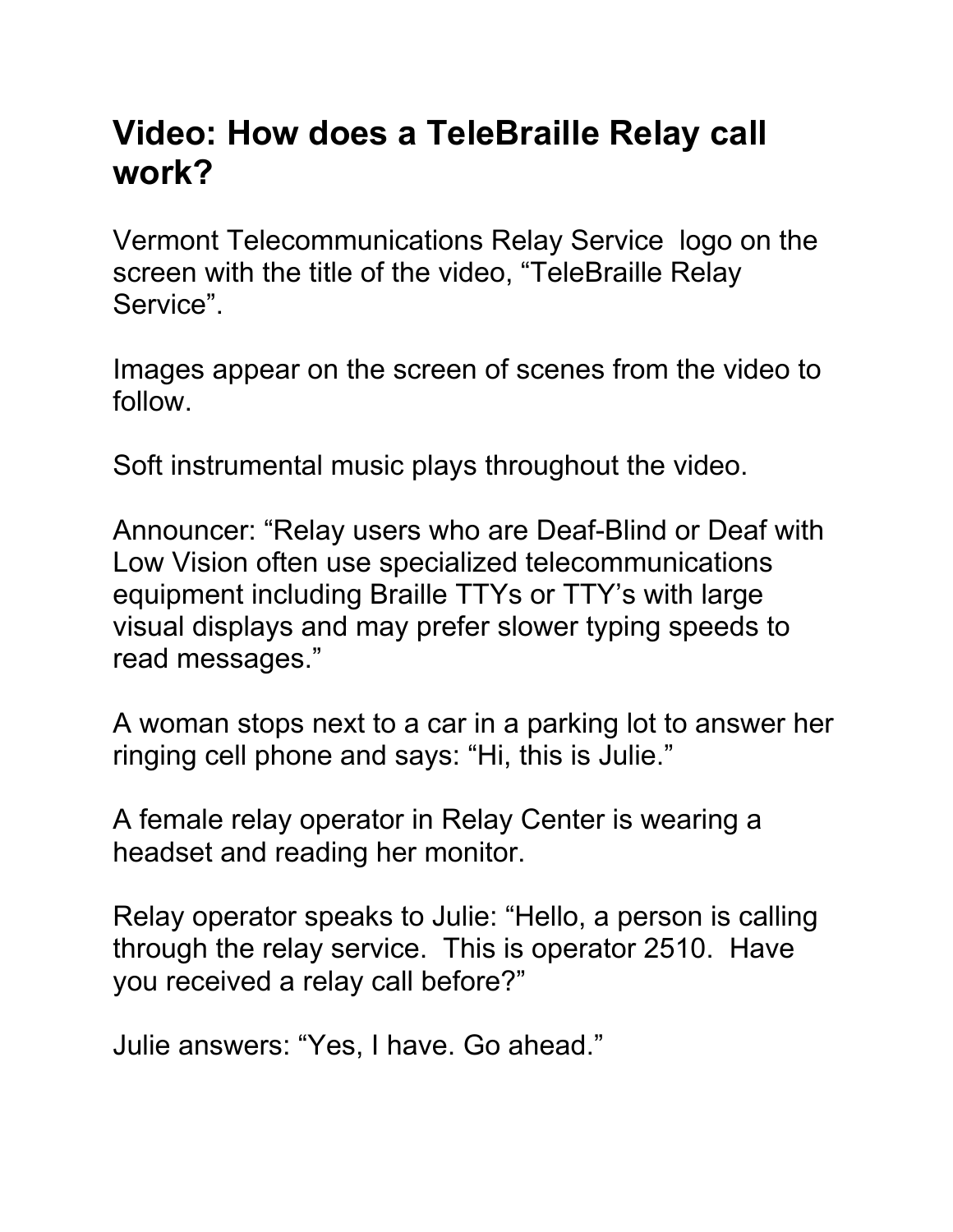## **Video: How does a TeleBraille Relay call work?**

Vermont Telecommunications Relay Service logo on the screen with the title of the video, "TeleBraille Relay Service".

Images appear on the screen of scenes from the video to follow.

Soft instrumental music plays throughout the video.

Announcer: "Relay users who are Deaf-Blind or Deaf with Low Vision often use specialized telecommunications equipment including Braille TTYs or TTY's with large visual displays and may prefer slower typing speeds to read messages."

A woman stops next to a car in a parking lot to answer her ringing cell phone and says: "Hi, this is Julie."

A female relay operator in Relay Center is wearing a headset and reading her monitor.

Relay operator speaks to Julie: "Hello, a person is calling through the relay service. This is operator 2510. Have you received a relay call before?"

Julie answers: "Yes, I have. Go ahead."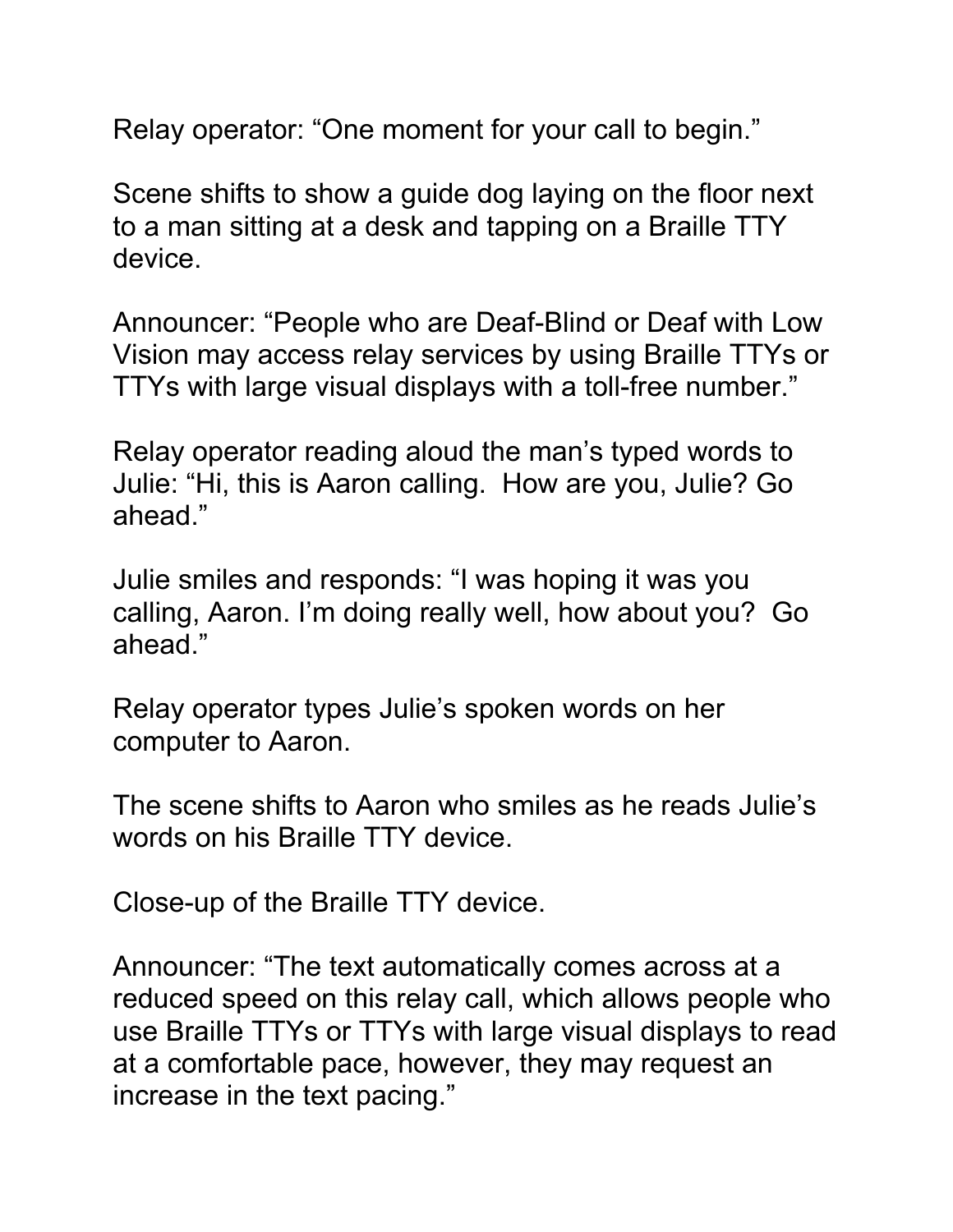Relay operator: "One moment for your call to begin."

Scene shifts to show a guide dog laying on the floor next to a man sitting at a desk and tapping on a Braille TTY device.

Announcer: "People who are Deaf-Blind or Deaf with Low Vision may access relay services by using Braille TTYs or TTYs with large visual displays with a toll-free number."

Relay operator reading aloud the man's typed words to Julie: "Hi, this is Aaron calling. How are you, Julie? Go ahead."

Julie smiles and responds: "I was hoping it was you calling, Aaron. I'm doing really well, how about you? Go ahead."

Relay operator types Julie's spoken words on her computer to Aaron.

The scene shifts to Aaron who smiles as he reads Julie's words on his Braille TTY device.

Close-up of the Braille TTY device.

Announcer: "The text automatically comes across at a reduced speed on this relay call, which allows people who use Braille TTYs or TTYs with large visual displays to read at a comfortable pace, however, they may request an increase in the text pacing."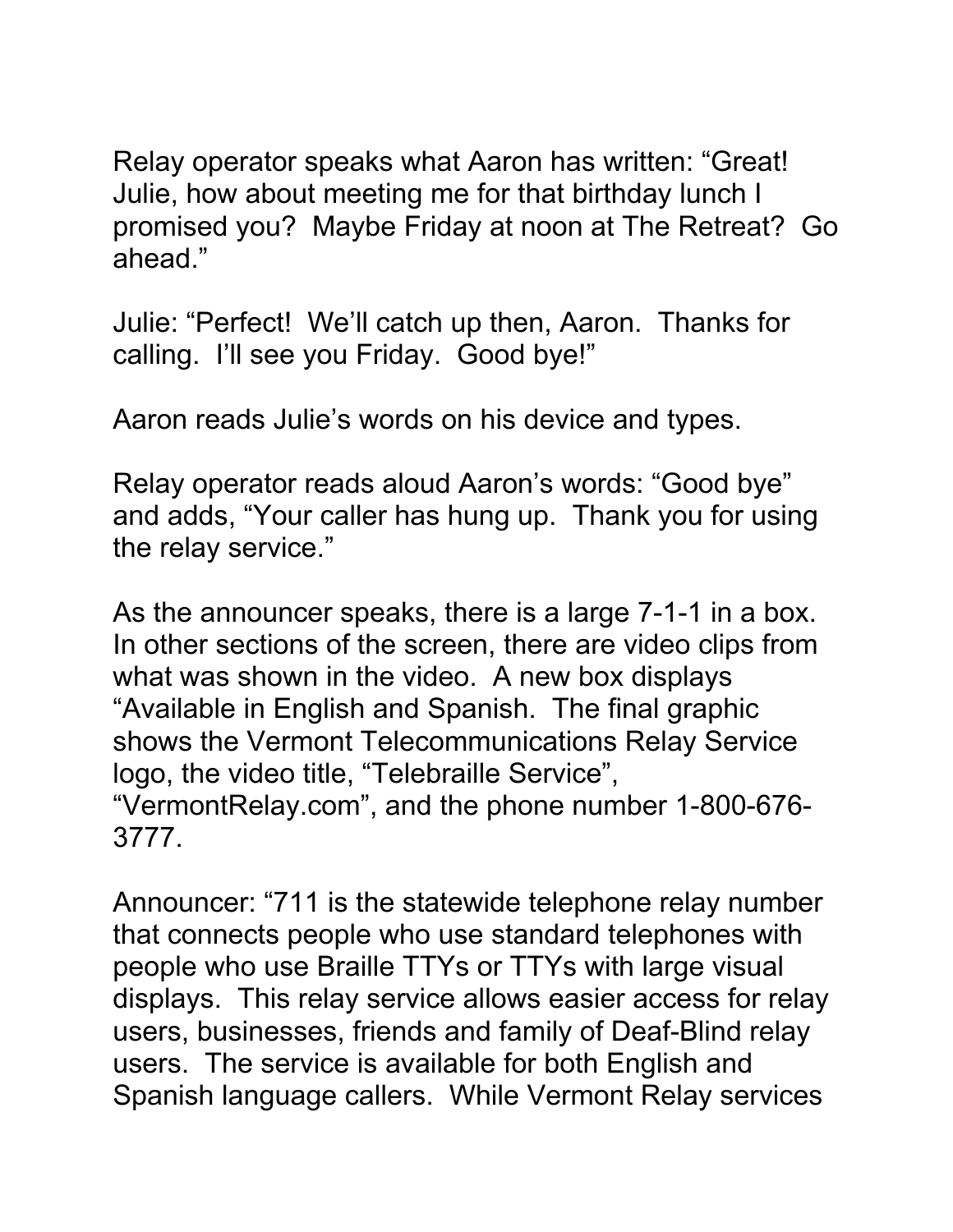Relay operator speaks what Aaron has written: "Great! Julie, how about meeting me for that birthday lunch I promised you? Maybe Friday at noon at The Retreat? Go ahead."

Julie: "Perfect! We'll catch up then, Aaron. Thanks for calling. I'll see you Friday. Good bye!"

Aaron reads Julie's words on his device and types.

Relay operator reads aloud Aaron's words: "Good bye" and adds, "Your caller has hung up. Thank you for using the relay service."

As the announcer speaks, there is a large 7-1-1 in a box. In other sections of the screen, there are video clips from what was shown in the video. A new box displays "Available in English and Spanish. The final graphic shows the Vermont Telecommunications Relay Service logo, the video title, "Telebraille Service", "VermontRelay.com", and the phone number 1-800-676- 3777.

Announcer: "711 is the statewide telephone relay number that connects people who use standard telephones with people who use Braille TTYs or TTYs with large visual displays. This relay service allows easier access for relay users, businesses, friends and family of Deaf-Blind relay users. The service is available for both English and Spanish language callers. While Vermont Relay services